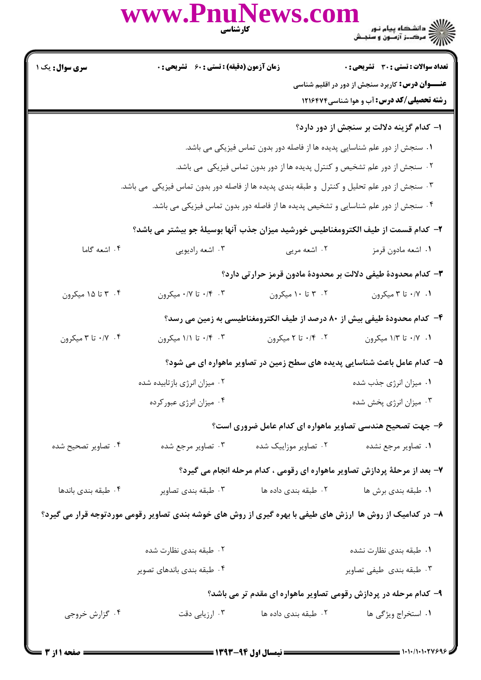|                     | www.PnuNews.col<br>كارشناسي                                                                                |                                                                                    | ے :<br>کا اللہ کا ساتھ کا پیام نور<br>کا اللہ کا مرکبز آزمنوں و سنجش                                                                                        |  |
|---------------------|------------------------------------------------------------------------------------------------------------|------------------------------------------------------------------------------------|-------------------------------------------------------------------------------------------------------------------------------------------------------------|--|
| سری سوال : یک ۱     | <b>زمان آزمون (دقیقه) : تستی : 60 ٪ تشریحی : 0</b>                                                         |                                                                                    | <b>تعداد سوالات : تستي : 30 ٪ تشريحي : 0</b><br><b>عنـــوان درس:</b> کاربرد سنجش از دور در اقلیم شناسی<br><b>رشته تحصیلی/کد درس:</b> آب و هوا شناسی ۱۲۱۶۴۷۴ |  |
|                     |                                                                                                            |                                                                                    | ۱– کدام گزینه دلالت بر سنجش از دور دارد؟                                                                                                                    |  |
|                     |                                                                                                            | ۰۱ سنجش از دور علم شناسایی پدیده ها از فاصله دور بدون تماس فیزیکی می باشد.         |                                                                                                                                                             |  |
|                     |                                                                                                            | ۰۲ سنجش از دور علم تشخیص و کنترل پدیده ها از دور بدون تماس فیزیکی ًمی باشد.        |                                                                                                                                                             |  |
|                     | ۰۳ سنجش از دور علم تحلیل و کنترل  و طبقه بندی پدیده ها از فاصله دور بدون تماس فیزیکی  می باشد.             |                                                                                    |                                                                                                                                                             |  |
|                     |                                                                                                            | ۰۴ سنجش از دور علم شناسایی و تشخیص پدیده ها از فاصله دور بدون تماس فیزیکی می باشد. |                                                                                                                                                             |  |
|                     | ٢– كدام قسمت از طيف الكترومغناطيس خورشيد ميزان جذب آنها بوسيلة جو بيشتر مي باشد؟                           |                                                                                    |                                                                                                                                                             |  |
| ۰۴ اشعه گاما        | ۰۳ اشعه راديويي                                                                                            | ۰۲ اشعه مربي                                                                       | ٠١. اشعه مادون قرمز                                                                                                                                         |  |
|                     |                                                                                                            |                                                                                    | ۳- کدام محدودهٔ طیفی دلالت بر محدودهٔ مادون قرمز حرارتی دارد؟                                                                                               |  |
| ۰۴ تا ۱۵ میکرون     | ۰/۴ تا ۰/۷ میکرون                                                                                          | ۰۲ تا ۱۰ میکرون                                                                    | ۰/۱ ۰/۱ تا ۳ میکرون                                                                                                                                         |  |
|                     |                                                                                                            |                                                                                    | ۴– كدام محدودة طيفي بيش از ٨٠ درصد از طيف الكترومغناطيسي به زمين مي رسد؟                                                                                    |  |
| ۰/۲ تا ۳ میکرون     | ۰،۴ ۰/۴ تا ۱/۱ میکرون                                                                                      | ۰/۴ تا ۲ میکرون                                                                    | ۰/۱ ۰/۱ تا ۱/۳ میکرون                                                                                                                                       |  |
|                     | ۵– کدام عامل باعث شناسایی پدیده های سطح زمین در تصاویر ماهواره ای می شود؟                                  |                                                                                    |                                                                                                                                                             |  |
|                     | ۰۲ میزان انرژی بازتابیده شده                                                                               |                                                                                    | ۰۱ میزان انرژی جذب شده                                                                                                                                      |  |
|                     | ۰۴ میزان انرژی عبورکرده                                                                                    |                                                                                    | ۰۳ میزان انرژی پخش شده                                                                                                                                      |  |
|                     |                                                                                                            |                                                                                    | ۶– جهت تصحیح هندسی تصاویر ماهواره ای کدام عامل ضروری است؟                                                                                                   |  |
| ۰۴ تصاویر تصحیح شده | ۰۳ تصاویر مرجع شده                                                                                         | ۰۲ تصاویر موزاییک شده                                                              | ٠١ تصاوير مرجع نشده                                                                                                                                         |  |
|                     |                                                                                                            |                                                                                    | ۷- بعد از مرحلهٔ پردازش تصاویر ماهواره ای رقومی ، کدام مرحله انجام می گیرد؟                                                                                 |  |
| ۰۴ طبقه بندی باندها | ۰۳ طبقه بندي تصاوير                                                                                        | ۰۲ طبقه بندی داده ها                                                               | ٠١ طبقه بندي برش ها                                                                                                                                         |  |
|                     | ۸– در کدامیک از روش ها آرزش های طیفی با بهره گیری از روش های خوشه بندی تصاویر رقومی موردتوجه قرار می گیرد؟ |                                                                                    |                                                                                                                                                             |  |
|                     | ۰۲ طبقه بندی نظارت شده                                                                                     |                                                                                    | ۰۱ طبقه بندي نظارت نشده                                                                                                                                     |  |
|                     | ۰۴ طبقه بندی باندهای تصویر                                                                                 |                                                                                    | ۰۳ طبقه بندی طیفی تصاویر                                                                                                                                    |  |
|                     |                                                                                                            |                                                                                    | ۹- کدام مرحله در پردازش رقومی تصاویر ماهواره ای مقدم تر می باشد؟                                                                                            |  |
| ۰۴ گزارش خروجي      | ۰۳ ارزیابی دقت                                                                                             | ۰۲ طبقه بندی داده ها                                                               | ۰۱ استخراج ویژگی ها                                                                                                                                         |  |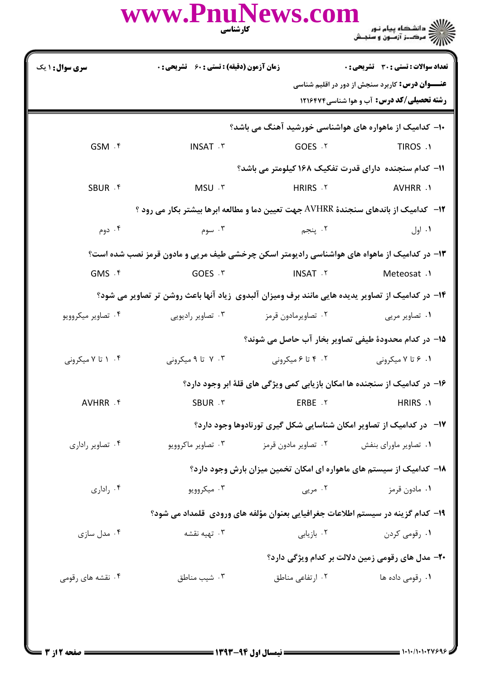|                        | www.PnuNews.com<br>كارشناسي                                                                      |                                                                                                                                                                                                           | ے ۔<br>کا اللہ دانشگاہ پیام نور<br>کا اللہ مرکبز آزمون و سنجش               |
|------------------------|--------------------------------------------------------------------------------------------------|-----------------------------------------------------------------------------------------------------------------------------------------------------------------------------------------------------------|-----------------------------------------------------------------------------|
| <b>سری سوال : ۱ یک</b> |                                                                                                  | تعداد سوالات : تستى : 30 ٪ تشريحي : 0<br><b>زمان آزمون (دقیقه) : تستی : 60 ٪ تشریحی : 0</b><br><b>عنـــوان درس:</b> کاربرد سنجش از دور در اقلیم شناسی<br><b>رشته تحصیلی/کد درس:</b> آب و هوا شناسی۱۲۱۶۴۷۴ |                                                                             |
|                        |                                                                                                  |                                                                                                                                                                                                           | ۱۰– کدامیک از ماهواره های هواشناسی خورشید آهنگ می باشد؟                     |
| GSM . f                | <b>INSAT . ٣</b>                                                                                 | GOES .Y                                                                                                                                                                                                   | TIROS .1                                                                    |
|                        |                                                                                                  |                                                                                                                                                                                                           | <b>۱۱- کدام سنجنده دارای قدرت تفکیک ۱۶۸ کیلومتر می باشد؟</b>                |
| SBUR . F               | MSU . ٣                                                                                          | HRIRS .Y                                                                                                                                                                                                  | AVHRR .1                                                                    |
|                        | 1۲- کدامیک از باندهای سنجندهٔ AVHRR جهت تعیین دما و مطالعه ابرها بیشتر بکار می رود ؟             |                                                                                                                                                                                                           |                                                                             |
| ۰۴ دوم                 | ۰۳ سوم                                                                                           | ۰۲ پنجم                                                                                                                                                                                                   | ۰۱ اول                                                                      |
|                        | ۱۳– در کدامیک از ماهواه های هواشناسی رادیومتر اسکن چرخشی طیف مریی و مادون قرمز نصب شده است؟      |                                                                                                                                                                                                           |                                                                             |
| $GMS \cdot$ f          | GOES . ٣                                                                                         | <b>INSAT Y</b>                                                                                                                                                                                            | Meteosat .1                                                                 |
|                        | ۱۴– در کدامیک از تصاویر پدیده هایی مانند برف ومیزان آلبدوی زیاد آنها باعث روشن تر تصاویر می شود؟ |                                                                                                                                                                                                           |                                                                             |
| ۰۴ تصاویر میکروویو     | ۰۲ تصاویرمادون قرمز مستقل تصاویر رادیویی .                                                       |                                                                                                                                                                                                           | ۰۱ تصاویر مربی                                                              |
|                        |                                                                                                  |                                                                                                                                                                                                           | 1۵– در کدام محدودهٔ طیفی تصاویر بخار آب حاصل می شوند؟                       |
| ۰۴ ۱ تا ۷ میکرونی      | ۰۳ تا ۹ میکرونی                                                                                  | ۰۲ تا ۶ میکرونی                                                                                                                                                                                           | ۰۱ ۶ تا ۷ میکرونی                                                           |
|                        |                                                                                                  |                                                                                                                                                                                                           | ۱۶– در کدامیک از سنجنده ها امکان بازیابی کمی ویژگی های قلهٔ ابر وجود دارد؟  |
| AVHRR . F              | SBUR . ٣                                                                                         | ERBE .Y                                                                                                                                                                                                   | HRIRS .1                                                                    |
|                        |                                                                                                  |                                                                                                                                                                                                           | <b>۱۷</b> - در کدامیک از تصاویر امکان شناسایی شکل گیری تورنادوها وجود دارد؟ |
| ۰۴ تصاویر راداری       | ۰۳ تصاویر ماکروویو                                                                               | ۰۲ تصاویر مادون قرمز                                                                                                                                                                                      | ۰۱ تصاویر ماورای بنفش                                                       |
|                        |                                                                                                  |                                                                                                                                                                                                           | ۱۸– کدامیک از سیستم های ماهواره ای امکان تخمین میزان بارش وجود دارد؟        |
| ۰۴ راداری              | ۰۳ میکروویو                                                                                      | ۰۲ مریی                                                                                                                                                                                                   | ۰۱ مادون قرمز                                                               |
|                        | ۱۹– کدام گزینه در سیستم اطلاعات جغرافیایی بعنوان مؤلفه های ورودی قلمداد می شود؟                  |                                                                                                                                                                                                           |                                                                             |
| ۰۴ مدل سازی            | ۰۳ تهیه نقشه                                                                                     | ۰۲ بازیابی                                                                                                                                                                                                | ۰۱ رقومی کردن                                                               |
|                        |                                                                                                  |                                                                                                                                                                                                           | <b>۲۰</b> – مدل های رقومی زمین دلالت بر کدام ویژگی دارد؟                    |
| ۰۴ نقشه های رقومی      | ۰۳ شیب مناطق                                                                                     | ۰۲ ارتفاعی مناطق                                                                                                                                                                                          | <b>۱</b> . رقومی داده ها                                                    |
|                        |                                                                                                  |                                                                                                                                                                                                           |                                                                             |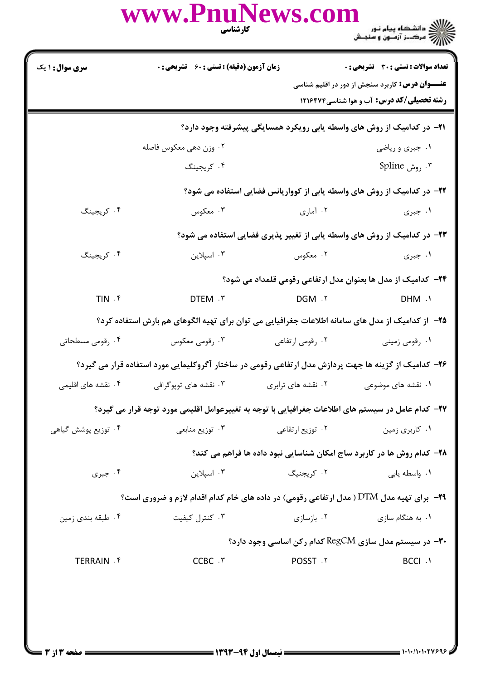|                                 | www.PnuNews.com<br>كارشناسي                                                                          |                    | ے ۔<br>کا اللہ کا مقام ہیام نور<br>کا اللہ کرکٹ آزمون و سنجش                                               |
|---------------------------------|------------------------------------------------------------------------------------------------------|--------------------|------------------------------------------------------------------------------------------------------------|
| <b>سری سوال : ۱ یک</b>          | <b>زمان آزمون (دقیقه) : تستی : 60 گشریحی : 0</b>                                                     |                    | تعداد سوالات : تستي : 30 - تشريحي : 0                                                                      |
|                                 |                                                                                                      |                    | <b>عنـــوان درس:</b> کاربرد سنجش از دور در اقلیم شناسی<br><b>رشته تحصیلی/کد درس:</b> آب و هوا شناسی1۲۱۶۴۷۴ |
|                                 | ۰۲۱− در کدامیک از روش های واسطه یابی رویکرد همسایگی پیشرفته وجود دارد؟                               |                    |                                                                                                            |
|                                 | ۰۲ وزن دهي معكوس فاصله                                                                               |                    | ۰۱ جبری و ریاضی                                                                                            |
|                                 | ۰۴ کریجینگ                                                                                           |                    | ۰۳ <sub>روش</sub> Spline                                                                                   |
|                                 | ۲۲– در کدامیک از روش های واسطه یابی از کوواریانس فضایی استفاده می شود؟                               |                    |                                                                                                            |
| ۰۴ کریجینگ                      | ۰۳ معکوس                                                                                             | ۰۲ آماری           | ۰۱ جبری                                                                                                    |
|                                 | ۲۳– در کدامیک از روش های واسطه یابی از تغییر پذیری فضایی استفاده می شود؟                             |                    |                                                                                                            |
| ۰۴ کریجینگ                      | ۰۳ اسپلاین                                                                                           | ۰۲ معکوس           | ۰۱ جبری                                                                                                    |
|                                 |                                                                                                      |                    | ۲۴− کدامیک از مدل ها بعنوان مدل ارتفاعی رقومی قلمداد می شود؟                                               |
| $TIN$ . $f$                     | DTEM . ٣                                                                                             | DGM .Y             | DHM .1                                                                                                     |
|                                 | ۲۵– از کدامیک از مدل های سامانه اطلاعات جغرافیایی می توان برای تهیه الگوهای هم بارش استفاده کرد؟     |                    |                                                                                                            |
| ۰۴ رقومی مسطحاتی                | ۰۳ رقومی معکوس                                                                                       | ۰۲ رقومی ارتفاعی   | ۰۱ رقومی زمینی                                                                                             |
|                                 | ۲۶– کدامیک از گزینه ها جهت پردازش مدل ارتفاعی رقومی در ساختار آگروکلیمایی مورد استفاده قرار می گیرد؟ |                    |                                                                                                            |
| ۰۴ نقشه های اقلیمی              | ۰۳ نقشه های توپوگرافی                                                                                | ۰۲ نقشه های ترابری | ۰۱ نقشه های موضوعی                                                                                         |
|                                 | ۲۷– کدام عامل در سیستم های اطلاعات جغرافیایی با توجه به تغییرعوامل اقلیمی مورد توجه قرار می گیرد؟    |                    |                                                                                                            |
| ۰۴ توزیع پوشش گیاه <sub>ی</sub> | ۰۳ توزیع منابعی                                                                                      | ۰۲ توزیع ارتقاعی   | ۰۱ کاربری زمین                                                                                             |
|                                 |                                                                                                      |                    | ۲۸- کدام روش ها در کاربرد ساج امکان شناسایی نبود داده ها فراهم می کند؟                                     |
| ۰۴ جبری                         | ۰۳ اسپلاین                                                                                           | ۰۲ کریجنیگ         | ٠١ واسطه يابي                                                                                              |
|                                 | <b>۲۹</b> - برای تهیه مدل DTM ( مدل ارتفاعی رقومی) در داده های خام کدام اقدام لازم و ضروری است؟      |                    |                                                                                                            |
| ۰۴ طبقه بندي زمين               | ۰۳ کنترل کیفیت                                                                                       | ۰۲ بازسازی         | ۰۱ به هنگام سازی                                                                                           |
|                                 |                                                                                                      |                    | <b>۳۰</b> - در سیستم مدل سازی RegCM کدام رکن اساسی وجود دارد؟                                              |
| TERRAIN . ۴                     | CCBC . ٣                                                                                             | POSST . Y          | <b>BCCI .1</b>                                                                                             |